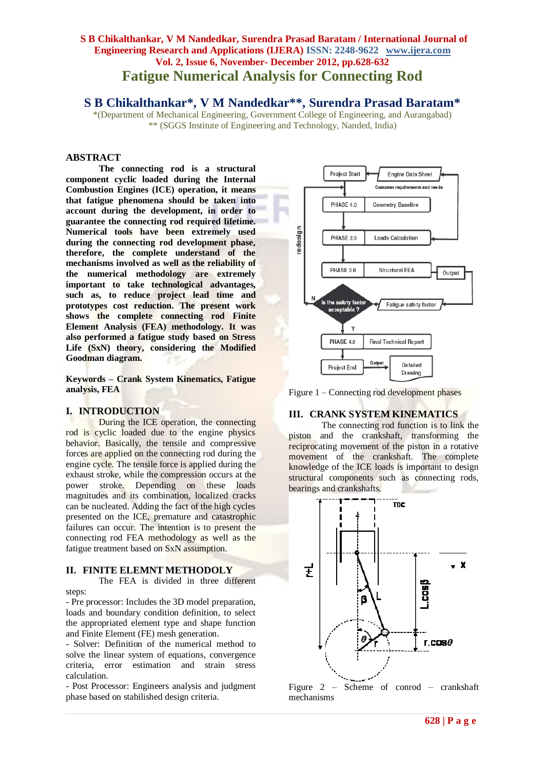# **S B Chikalthankar, V M Nandedkar, Surendra Prasad Baratam / International Journal of Engineering Research and Applications (IJERA) ISSN: 2248-9622 www.ijera.com Vol. 2, Issue 6, November- December 2012, pp.628-632 Fatigue Numerical Analysis for Connecting Rod**

**S B Chikalthankar\*, V M Nandedkar\*\*, Surendra Prasad Baratam\***

\*(Department of Mechanical Engineering, Government College of Engineering, and Aurangabad) \*\* (SGGS Institute of Engineering and Technology, Nanded, India)

## **ABSTRACT**

**The connecting rod is a structural component cyclic loaded during the Internal Combustion Engines (ICE) operation, it means that fatigue phenomena should be taken into account during the development, in order to guarantee the connecting rod required lifetime. Numerical tools have been extremely used during the connecting rod development phase, therefore, the complete understand of the mechanisms involved as well as the reliability of the numerical methodology are extremely important to take technological advantages, such as, to reduce project lead time and prototypes cost reduction. The present work shows the complete connecting rod Finite Element Analysis (FEA) methodology. It was also performed a fatigue study based on Stress Life (SxN) theory, considering the Modified Goodman diagram.** 

**Keywords – Crank System Kinematics, Fatigue analysis, FEA**

#### **I. INTRODUCTION**

During the ICE operation, the connecting rod is cyclic loaded due to the engine physics behavior. Basically, the tensile and compressive forces are applied on the connecting rod during the engine cycle. The tensile force is applied during the exhaust stroke, while the compression occurs at the power stroke. Depending on these loads magnitudes and its combination, localized cracks can be nucleated. Adding the fact of the high cycles presented on the ICE, premature and catastrophic failures can occur. The intention is to present the connecting rod FEA methodology as well as the fatigue treatment based on SxN assumption.

## **II. FINITE ELEMNT METHODOLY**

The FEA is divided in three different steps:

- Pre processor: Includes the 3D model preparation, loads and boundary condition definition, to select the appropriated element type and shape function and Finite Element (FE) mesh generation.

- Solver: Definition of the numerical method to solve the linear system of equations, convergence criteria, error estimation and strain stress calculation.

- Post Processor: Engineers analysis and judgment phase based on stabilished design criteria.



Figure 1 – Connecting rod development phases

## **III. CRANK SYSTEM KINEMATICS**

The connecting rod function is to link the piston and the crankshaft, transforming the reciprocating movement of the piston in a rotative movement of the crankshaft. The complete knowledge of the ICE loads is important to design structural components such as connecting rods, bearings and crankshafts.



Figure 2 – Scheme of conrod – crankshaft mechanisms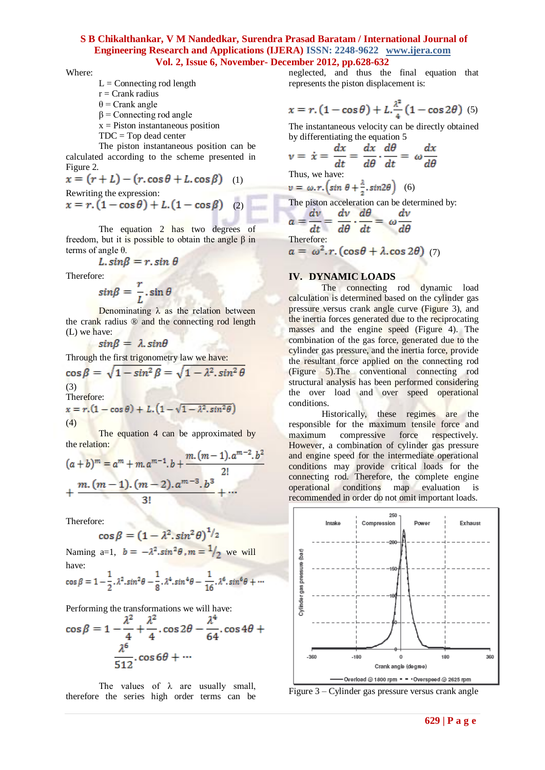Where:

- $L =$  Connecting rod length
- $r =$ Crank radius
- θ = Crank angle
- $β =$ Connecting rod angle
- $x =$  Piston instantaneous position
- TDC = Top dead center

The piston instantaneous position can be calculated according to the scheme presented in Figure 2.

$$
x = (r + L) - (r \cdot \cos \theta + L \cdot \cos \beta)
$$
 (1)  
Rewriting the expression

$$
x = r.\left(1 - \cos\theta\right) + L.\left(1 - \cos\beta\right) \quad (2)
$$

The equation 2 has two degrees of freedom, but it is possible to obtain the angle β in terms of angle θ.

$$
L \cdot \sin\beta = r \cdot \sin \theta
$$

Therefore:

$$
sin\beta = \frac{r}{L} \cdot \sin\theta
$$

Denominating  $\lambda$  as the relation between the crank radius ® and the connecting rod length (L) we have:

 $sin\beta = \lambda . sin\theta$ 

Through the first trigonometry law we have:

$$
\cos \beta = \sqrt{1 - \sin^2 \beta} = \sqrt{1 - \lambda^2 \cdot \sin^2 \theta}
$$
  
(3)  
Therefore:  

$$
x = r.(1 - \cos \theta) + L.(1 - \sqrt{1 - \lambda^2 \cdot \sin^2 \theta})
$$
  
(4)

The equation 4 can be approximated by the relation:

$$
(a+b)^m = a^m + m \cdot a^{m-1} \cdot b + \frac{m \cdot (m-1) \cdot a^{m-2} \cdot b^2}{2!} + \frac{m \cdot (m-1) \cdot (m-2) \cdot a^{m-3} \cdot b^3}{3!} + \cdots
$$

Therefore:<br>  $\cos \beta = (1 - \lambda^2 \cdot \sin^2 \theta)^{1/2}$ 

Naming a=1,  $b = -\lambda^2 \sin^2 \theta$ ,  $m = \frac{1}{2}$  we will have:

$$
\cos \beta = 1 - \frac{1}{2} \cdot \lambda^2 \cdot \sin^2 \theta - \frac{1}{8} \cdot \lambda^4 \cdot \sin^4 \theta - \frac{1}{16} \cdot \lambda^6 \cdot \sin^6 \theta + \cdots
$$

Performing the transformations we will have:

$$
\cos \beta = 1 - \frac{\lambda^2}{4} + \frac{\lambda^2}{4} \cdot \cos 2\theta - \frac{\lambda^4}{64} \cdot \cos 4\theta + \frac{\lambda^6}{512} \cdot \cos 6\theta + \cdots
$$

The values of  $\lambda$  are usually small, therefore the series high order terms can be neglected, and thus the final equation that represents the piston displacement is:

$$
x = r.\left(1 - \cos\theta\right) + L.\frac{\lambda^2}{4}\left(1 - \cos 2\theta\right) \tag{5}
$$

The instantaneous velocity can be directly obtained by differentiating the equation 5

$$
\nu = \dot{x} = \frac{dx}{dt} = \frac{dx}{d\theta} \cdot \frac{d\theta}{dt} = \omega \frac{dx}{d\theta}
$$
  
Thus, we have:  

$$
\nu = \omega \cdot r \cdot (\sin \theta + \frac{\lambda}{2} \cdot \sin 2\theta) \quad (6)
$$

The piston acceleration can be determined by:

$$
a = \frac{av}{dt} = \frac{av}{d\theta} \cdot \frac{d\theta}{dt} = \omega \frac{av}{d\theta}
$$
  
Therefore:  

$$
a = \omega^2 \cdot r \cdot (\cos \theta + \lambda \cdot \cos 2\theta) \tag{7}
$$

#### **IV. DYNAMIC LOADS**

The connecting rod dynamic load calculation is determined based on the cylinder gas pressure versus crank angle curve (Figure 3), and the inertia forces generated due to the reciprocating masses and the engine speed (Figure 4). The combination of the gas force, generated due to the cylinder gas pressure, and the inertia force, provide the resultant force applied on the connecting rod (Figure 5).The conventional connecting rod structural analysis has been performed considering the over load and over speed operational conditions.

Historically, these regimes are the responsible for the maximum tensile force and maximum compressive force respectively. However, a combination of cylinder gas pressure and engine speed for the intermediate operational conditions may provide critical loads for the connecting rod. Therefore, the complete engine operational conditions map evaluation is recommended in order do not omit important loads.



Figure 3 – Cylinder gas pressure versus crank angle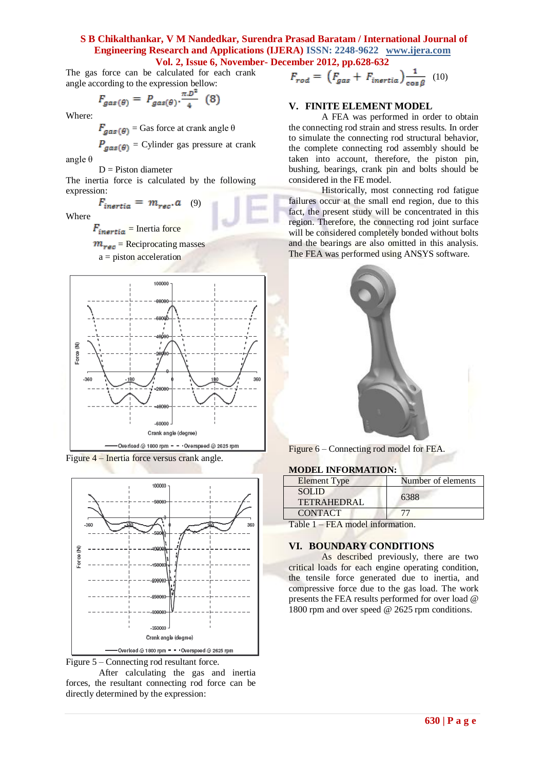The gas force can be calculated for each crank angle according to the expression bellow:

$$
F_{gas(\theta)} = P_{gas(\theta)} \cdot \frac{\pi D^2}{4} \quad (8)
$$

Where:

 $F_{gas}(\theta)$  = Gas force at crank angle  $\theta$ 

$$
P_{gas(\theta)} = \text{Cylinder gas pressure at crank}
$$
angle  $\theta$ 

 $D =$ Piston diameter

The inertia force is calculated by the following expression:

 $F_{inertia} = m_{rec}.a$  (9)

Where

 $F_{inertia}$  = Inertia force

 $m_{resc}$  = Reciprocating masses

a = piston acceleration



Figure 4 – Inertia force versus crank angle.





After calculating the gas and inertia forces, the resultant connecting rod force can be directly determined by the expression:

$$
F_{rod} = \left(F_{gas} + F_{inertia}\right) \frac{1}{\cos \beta} \tag{10}
$$

## **V. FINITE ELEMENT MODEL**

A FEA was performed in order to obtain the connecting rod strain and stress results. In order to simulate the connecting rod structural behavior, the complete connecting rod assembly should be taken into account, therefore, the piston pin, bushing, bearings, crank pin and bolts should be considered in the FE model.

Historically, most connecting rod fatigue failures occur at the small end region, due to this fact, the present study will be concentrated in this region. Therefore, the connecting rod joint surface will be considered completely bonded without bolts and the bearings are also omitted in this analysis. The FEA was performed using ANSYS software.



Figure 6 – Connecting rod model for FEA.

#### **MODEL INFORMATION:**

| <b>Element Type</b>               | Number of elements |  |  |
|-----------------------------------|--------------------|--|--|
| <b>SOLID</b><br>TETRAHEDRAL       | 6388               |  |  |
| <b>CONTACT</b>                    |                    |  |  |
| $Table 1$ $EEA model information$ |                    |  |  |

Table 1 – FEA model information.

#### **VI. BOUNDARY CONDITIONS**

As described previously, there are two critical loads for each engine operating condition, the tensile force generated due to inertia, and compressive force due to the gas load. The work presents the FEA results performed for over load @ 1800 rpm and over speed @ 2625 rpm conditions.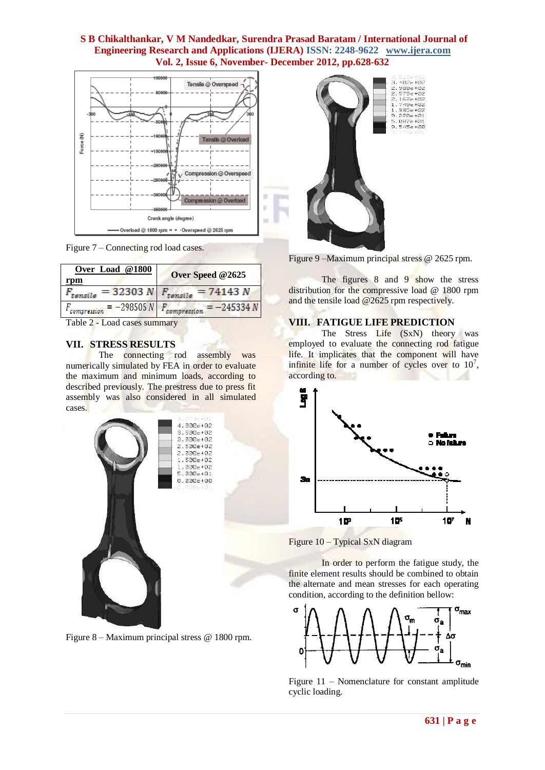



| Over Load @1800               |                                                 |  |  |  |
|-------------------------------|-------------------------------------------------|--|--|--|
| rpm                           | Over Speed @2625                                |  |  |  |
|                               | $F_{tensile}$ = 32303 N $F_{tensile}$ = 74143 N |  |  |  |
| $F_{compression} = -298505 N$ | $F_{compression} = -245334 N$                   |  |  |  |
|                               |                                                 |  |  |  |

Table 2 - Load cases summary

#### **VII. STRESS RESULTS**

The connecting rod assembly was numerically simulated by FEA in order to evaluate the maximum and minimum loads, according to described previously. The prestress due to press fit assembly was also considered in all simulated cases.



Figure 8 – Maximum principal stress @ 1800 rpm.





The figures 8 and 9 show the stress distribution for the compressive load @ 1800 rpm and the tensile load @2625 rpm respectively.

## **VIII. FATIGUE LIFE PREDICTION**

The Stress Life (SxN) theory was employed to evaluate the connecting rod fatigue life. It implicates that the component will have infinite life for a number of cycles over to  $10^7$ , according to.



Figure 10 – Typical SxN diagram

In order to perform the fatigue study, the finite element results should be combined to obtain the alternate and mean stresses for each operating condition, according to the definition bellow:



Figure 11 – Nomenclature for constant amplitude cyclic loading.